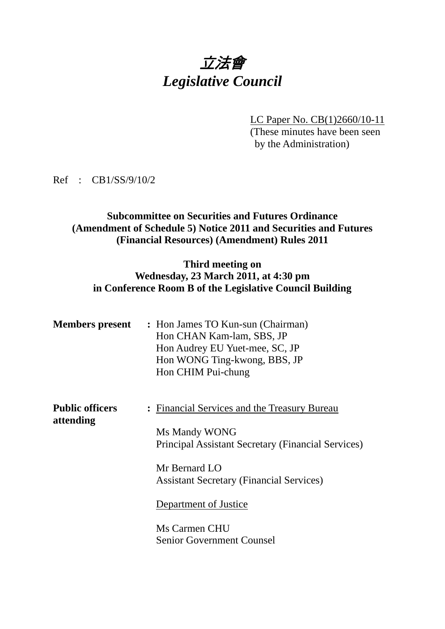# 立法會 *Legislative Council*

LC Paper No. CB(1)2660/10-11 (These minutes have been seen by the Administration)

Ref : CB1/SS/9/10/2

#### **Subcommittee on Securities and Futures Ordinance (Amendment of Schedule 5) Notice 2011 and Securities and Futures (Financial Resources) (Amendment) Rules 2011**

#### **Third meeting on Wednesday, 23 March 2011, at 4:30 pm in Conference Room B of the Legislative Council Building**

| <b>Members present</b>              | : Hon James TO Kun-sun (Chairman)<br>Hon CHAN Kam-lam, SBS, JP<br>Hon Audrey EU Yuet-mee, SC, JP<br>Hon WONG Ting-kwong, BBS, JP<br>Hon CHIM Pui-chung |
|-------------------------------------|--------------------------------------------------------------------------------------------------------------------------------------------------------|
| <b>Public officers</b><br>attending | : Financial Services and the Treasury Bureau<br>Ms Mandy WONG<br><b>Principal Assistant Secretary (Financial Services)</b>                             |
|                                     | Mr Bernard LO<br><b>Assistant Secretary (Financial Services)</b>                                                                                       |
|                                     | Department of Justice<br>Ms Carmen CHU                                                                                                                 |
|                                     | <b>Senior Government Counsel</b>                                                                                                                       |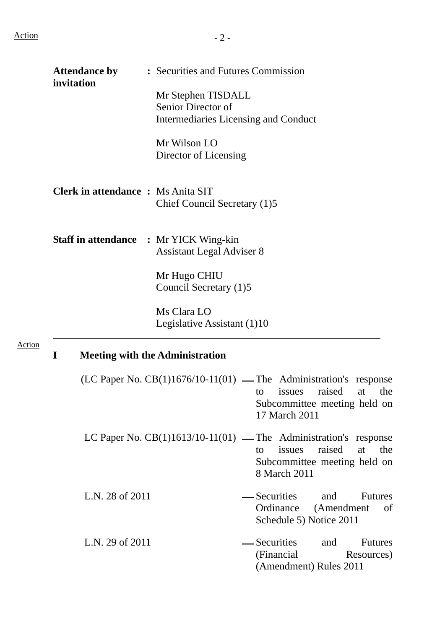|               | <b>Attendance by</b><br>: Securities and Futures Commission |                                                                                  |                                                                                                                                                               |
|---------------|-------------------------------------------------------------|----------------------------------------------------------------------------------|---------------------------------------------------------------------------------------------------------------------------------------------------------------|
|               | invitation                                                  | Mr Stephen TISDALL<br>Senior Director of<br>Intermediaries Licensing and Conduct |                                                                                                                                                               |
|               |                                                             | Mr Wilson LO<br>Director of Licensing                                            |                                                                                                                                                               |
|               | <b>Clerk in attendance : Ms Anita SIT</b>                   | Chief Council Secretary (1)5                                                     |                                                                                                                                                               |
|               | <b>Staff in attendance : Mr YICK Wing-kin</b>               | <b>Assistant Legal Adviser 8</b>                                                 |                                                                                                                                                               |
|               |                                                             | Mr Hugo CHIU<br>Council Secretary (1)5                                           |                                                                                                                                                               |
|               |                                                             | Ms Clara LO<br>Legislative Assistant (1)10                                       |                                                                                                                                                               |
| <b>Action</b> | $\mathbf I$                                                 | <b>Meeting with the Administration</b>                                           |                                                                                                                                                               |
|               |                                                             |                                                                                  | $(LC$ Paper No. $CB(1)1676/10-11(01)$ — The Administration's response<br>raised<br>issues<br>at<br>the<br>to<br>Subcommittee meeting held on<br>17 March 2011 |
|               |                                                             |                                                                                  | LC Paper No. $CB(1)1613/10-11(01)$ — The Administration's response<br>raised<br>issues<br>at<br>the<br>to<br>Subcommittee meeting held on<br>8 March 2011     |
|               | L.N. 28 of 2011                                             |                                                                                  | — Securities<br>and<br><b>Futures</b><br>Ordinance (Amendment<br>of<br>Schedule 5) Notice 2011                                                                |
|               | L.N. 29 of 2011                                             |                                                                                  | - Securities<br><b>Futures</b><br>and<br>(Financial)<br>Resources)<br>(Amendment) Rules 2011                                                                  |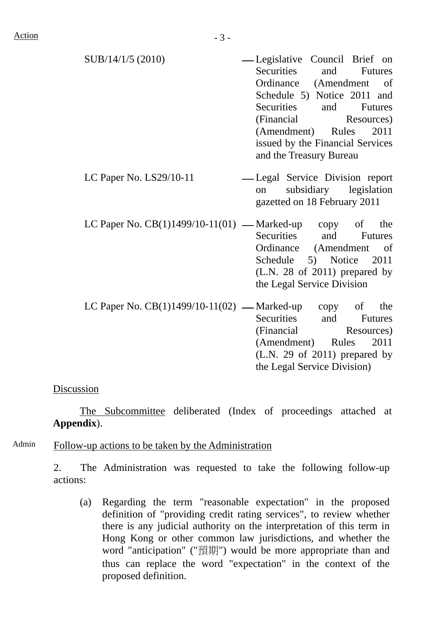- $SUB/14/1/5 (2010)$   $—$  Legislative Council Brief on Securities and Futures Ordinance (Amendment of Schedule 5) Notice 2011 and Securities and Futures (Financial Resources) (Amendment) Rules 2011 issued by the Financial Services and the Treasury Bureau
- LC Paper No. LS29/10-11 Legal Service Division report on subsidiary legislation gazetted on 18 February 2011
- LC Paper No.  $CB(1)1499/10-11(01)$  Marked-up copy of the Securities and Futures Ordinance (Amendment of Schedule 5) Notice 2011 (L.N. 28 of 2011) prepared by the Legal Service Division
- LC Paper No.  $CB(1)1499/10-11(02)$  Marked-up copy of the Securities and Futures (Financial Resources) (Amendment) Rules 2011 (L.N. 29 of 2011) prepared by the Legal Service Division)

#### Discussion

 The Subcommittee deliberated (Index of proceedings attached at **Appendix**).

Admin Follow-up actions to be taken by the Administration

2. The Administration was requested to take the following follow-up actions:

(a) Regarding the term "reasonable expectation" in the proposed definition of "providing credit rating services", to review whether there is any judicial authority on the interpretation of this term in Hong Kong or other common law jurisdictions, and whether the word "anticipation" ("預期") would be more appropriate than and thus can replace the word "expectation" in the context of the proposed definition.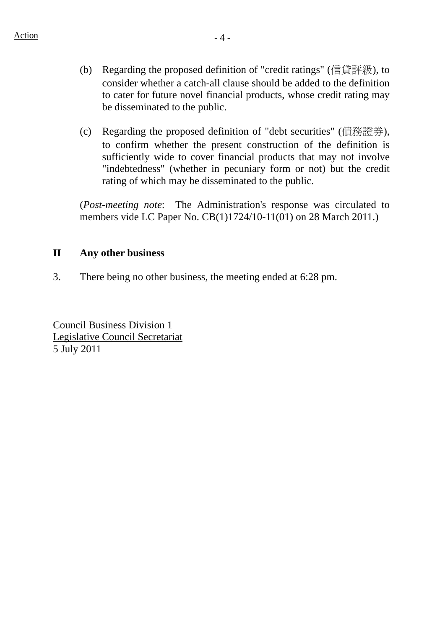- (b) Regarding the proposed definition of "credit ratings" (信貸評級), to consider whether a catch-all clause should be added to the definition to cater for future novel financial products, whose credit rating may be disseminated to the public.
- (c) Regarding the proposed definition of "debt securities" (債務證券), to confirm whether the present construction of the definition is sufficiently wide to cover financial products that may not involve "indebtedness" (whether in pecuniary form or not) but the credit rating of which may be disseminated to the public.

(*Post-meeting note*: The Administration's response was circulated to members vide LC Paper No. CB(1)1724/10-11(01) on 28 March 2011.)

## **II Any other business**

3. There being no other business, the meeting ended at 6:28 pm.

Council Business Division 1 Legislative Council Secretariat 5 July 2011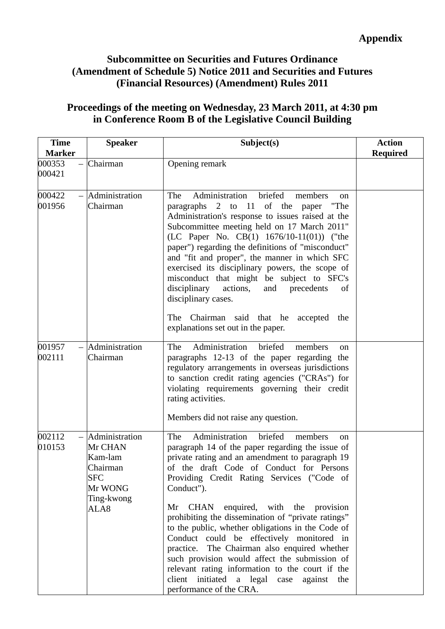# **Subcommittee on Securities and Futures Ordinance (Amendment of Schedule 5) Notice 2011 and Securities and Futures (Financial Resources) (Amendment) Rules 2011**

## **Proceedings of the meeting on Wednesday, 23 March 2011, at 4:30 pm in Conference Room B of the Legislative Council Building**

| <b>Time</b><br><b>Marker</b> | <b>Speaker</b>                                                                                      | Subject(s)                                                                                                                                                                                                                                                                                                                                                                                                                                                                                                                                                                                                                                                                                      | <b>Action</b><br><b>Required</b> |
|------------------------------|-----------------------------------------------------------------------------------------------------|-------------------------------------------------------------------------------------------------------------------------------------------------------------------------------------------------------------------------------------------------------------------------------------------------------------------------------------------------------------------------------------------------------------------------------------------------------------------------------------------------------------------------------------------------------------------------------------------------------------------------------------------------------------------------------------------------|----------------------------------|
| 000353<br>000421             | Chairman                                                                                            | Opening remark                                                                                                                                                                                                                                                                                                                                                                                                                                                                                                                                                                                                                                                                                  |                                  |
| 000422<br>001956             | $-$ Administration<br>Chairman                                                                      | Administration<br>briefed<br>The<br>members<br><sub>on</sub><br>paragraphs 2 to 11 of the paper<br>"The<br>Administration's response to issues raised at the<br>Subcommittee meeting held on 17 March 2011"<br>(LC Paper No. CB $(1)$ 1676/10-11 $(01)$ ) ("the<br>paper") regarding the definitions of "misconduct"<br>and "fit and proper", the manner in which SFC<br>exercised its disciplinary powers, the scope of<br>misconduct that might be subject to SFC's<br>disciplinary<br>actions,<br>and<br>precedents<br>of<br>disciplinary cases.<br>The Chairman said that he accepted<br>the<br>explanations set out in the paper.                                                          |                                  |
| 001957<br>002111             | $-$ Administration<br>Chairman                                                                      | Administration<br>briefed<br>The<br>members<br>on<br>paragraphs 12-13 of the paper regarding the<br>regulatory arrangements in overseas jurisdictions<br>to sanction credit rating agencies ("CRAs") for<br>violating requirements governing their credit<br>rating activities.<br>Members did not raise any question.                                                                                                                                                                                                                                                                                                                                                                          |                                  |
| 002112<br>010153             | $-$ Administration<br>Mr CHAN<br>Kam-lam<br>Chairman<br><b>SFC</b><br>Mr WONG<br>Ting-kwong<br>ALA8 | Administration<br>The<br>briefed<br>members<br>on<br>paragraph 14 of the paper regarding the issue of<br>private rating and an amendment to paragraph 19<br>of the draft Code of Conduct for Persons<br>Providing Credit Rating Services ("Code of<br>Conduct").<br>Mr CHAN enquired, with the provision<br>prohibiting the dissemination of "private ratings"<br>to the public, whether obligations in the Code of<br>Conduct could be effectively monitored in<br>practice. The Chairman also enquired whether<br>such provision would affect the submission of<br>relevant rating information to the court if the<br>client initiated a legal case<br>against the<br>performance of the CRA. |                                  |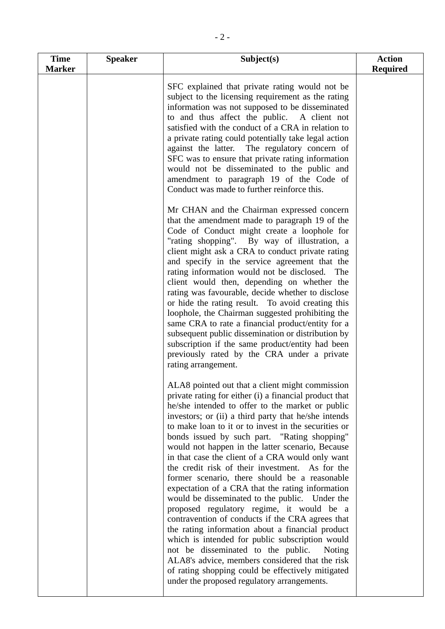| <b>Time</b><br><b>Marker</b> | <b>Speaker</b> | Subject(s)                                                                                                                                                                                                                                                                                                                                                                                                                                                                                                                                                                                                                                                                                                                                                                                                                                                                                                                                                                                                                                                     | <b>Action</b><br><b>Required</b> |
|------------------------------|----------------|----------------------------------------------------------------------------------------------------------------------------------------------------------------------------------------------------------------------------------------------------------------------------------------------------------------------------------------------------------------------------------------------------------------------------------------------------------------------------------------------------------------------------------------------------------------------------------------------------------------------------------------------------------------------------------------------------------------------------------------------------------------------------------------------------------------------------------------------------------------------------------------------------------------------------------------------------------------------------------------------------------------------------------------------------------------|----------------------------------|
|                              |                | SFC explained that private rating would not be<br>subject to the licensing requirement as the rating<br>information was not supposed to be disseminated<br>to and thus affect the public. A client not<br>satisfied with the conduct of a CRA in relation to<br>a private rating could potentially take legal action<br>against the latter. The regulatory concern of<br>SFC was to ensure that private rating information<br>would not be disseminated to the public and<br>amendment to paragraph 19 of the Code of<br>Conduct was made to further reinforce this.                                                                                                                                                                                                                                                                                                                                                                                                                                                                                           |                                  |
|                              |                | Mr CHAN and the Chairman expressed concern<br>that the amendment made to paragraph 19 of the<br>Code of Conduct might create a loophole for<br>"rating shopping". By way of illustration, a<br>client might ask a CRA to conduct private rating<br>and specify in the service agreement that the<br>rating information would not be disclosed. The<br>client would then, depending on whether the<br>rating was favourable, decide whether to disclose<br>or hide the rating result. To avoid creating this<br>loophole, the Chairman suggested prohibiting the<br>same CRA to rate a financial product/entity for a<br>subsequent public dissemination or distribution by<br>subscription if the same product/entity had been<br>previously rated by the CRA under a private<br>rating arrangement.                                                                                                                                                                                                                                                           |                                  |
|                              |                | ALA8 pointed out that a client might commission<br>private rating for either (i) a financial product that<br>he/she intended to offer to the market or public<br>investors; or (ii) a third party that he/she intends<br>to make loan to it or to invest in the securities or<br>bonds issued by such part. "Rating shopping"<br>would not happen in the latter scenario, Because<br>in that case the client of a CRA would only want<br>the credit risk of their investment. As for the<br>former scenario, there should be a reasonable<br>expectation of a CRA that the rating information<br>would be disseminated to the public. Under the<br>proposed regulatory regime, it would be a<br>contravention of conducts if the CRA agrees that<br>the rating information about a financial product<br>which is intended for public subscription would<br>not be disseminated to the public.<br>Noting<br>ALA8's advice, members considered that the risk<br>of rating shopping could be effectively mitigated<br>under the proposed regulatory arrangements. |                                  |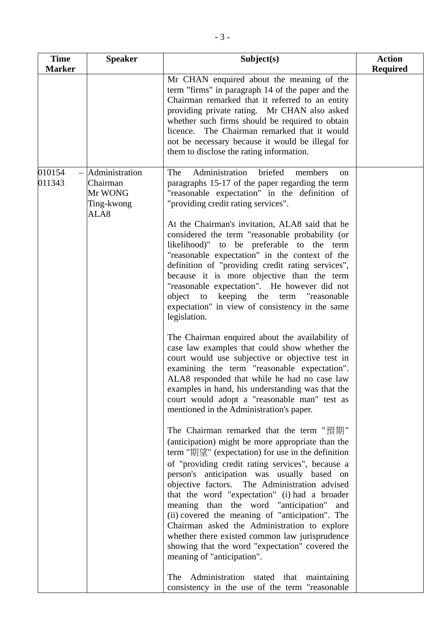| <b>Time</b><br><b>Marker</b> | <b>Speaker</b>                                              | Subject(s)                                                                                                                                                                                                                                                                                                                                                                                                                                                                                                                                                                                                                                                                                                                                                                                                                                                                                                                                                                                                                                                                                                                                                                                                                                                                                                                                                                                                                                                                                                                                                                                                                                                                                                                                                                                                                  | <b>Action</b><br><b>Required</b> |
|------------------------------|-------------------------------------------------------------|-----------------------------------------------------------------------------------------------------------------------------------------------------------------------------------------------------------------------------------------------------------------------------------------------------------------------------------------------------------------------------------------------------------------------------------------------------------------------------------------------------------------------------------------------------------------------------------------------------------------------------------------------------------------------------------------------------------------------------------------------------------------------------------------------------------------------------------------------------------------------------------------------------------------------------------------------------------------------------------------------------------------------------------------------------------------------------------------------------------------------------------------------------------------------------------------------------------------------------------------------------------------------------------------------------------------------------------------------------------------------------------------------------------------------------------------------------------------------------------------------------------------------------------------------------------------------------------------------------------------------------------------------------------------------------------------------------------------------------------------------------------------------------------------------------------------------------|----------------------------------|
|                              |                                                             | Mr CHAN enquired about the meaning of the<br>term "firms" in paragraph 14 of the paper and the<br>Chairman remarked that it referred to an entity<br>providing private rating. Mr CHAN also asked<br>whether such firms should be required to obtain<br>licence. The Chairman remarked that it would<br>not be necessary because it would be illegal for<br>them to disclose the rating information.                                                                                                                                                                                                                                                                                                                                                                                                                                                                                                                                                                                                                                                                                                                                                                                                                                                                                                                                                                                                                                                                                                                                                                                                                                                                                                                                                                                                                        |                                  |
| 010154<br>011343             | Administration<br>Chairman<br>Mr WONG<br>Ting-kwong<br>ALA8 | Administration<br>briefed<br>The<br>members<br>on<br>paragraphs 15-17 of the paper regarding the term<br>"reasonable expectation" in the definition of<br>"providing credit rating services".<br>At the Chairman's invitation, ALA8 said that he<br>considered the term "reasonable probability (or<br>likelihood)" to be preferable to the term<br>"reasonable expectation" in the context of the<br>definition of "providing credit rating services",<br>because it is more objective than the term<br>"reasonable expectation". He however did not<br>object to keeping the term "reasonable<br>expectation" in view of consistency in the same<br>legislation.<br>The Chairman enquired about the availability of<br>case law examples that could show whether the<br>court would use subjective or objective test in<br>examining the term "reasonable expectation".<br>ALA8 responded that while he had no case law<br>examples in hand, his understanding was that the<br>court would adopt a "reasonable man" test as<br>mentioned in the Administration's paper.<br>The Chairman remarked that the term "預期"<br>(anticipation) might be more appropriate than the<br>term "期望" (expectation) for use in the definition<br>of "providing credit rating services", because a<br>person's anticipation was usually based on<br>objective factors. The Administration advised<br>that the word "expectation" (i) had a broader<br>meaning than the word "anticipation"<br>and<br>(ii) covered the meaning of "anticipation". The<br>Chairman asked the Administration to explore<br>whether there existed common law jurisprudence<br>showing that the word "expectation" covered the<br>meaning of "anticipation".<br>Administration stated that maintaining<br>The<br>consistency in the use of the term "reasonable |                                  |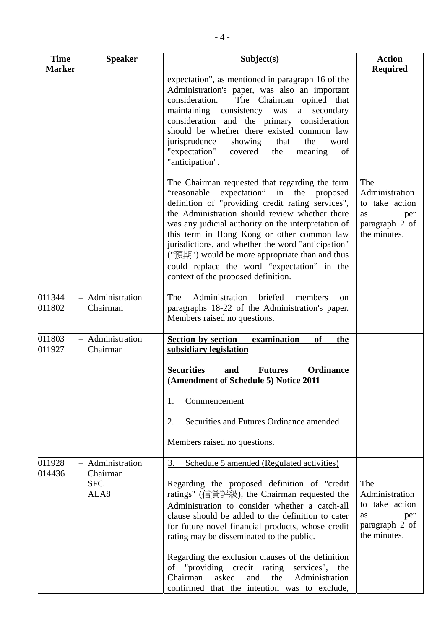| <b>Time</b><br><b>Marker</b> | <b>Speaker</b>                                       | Subject(s)                                                                                                                                                                                                                                                                                                                                                                                                                                                                                                                                                          | <b>Action</b><br><b>Required</b>                                                              |
|------------------------------|------------------------------------------------------|---------------------------------------------------------------------------------------------------------------------------------------------------------------------------------------------------------------------------------------------------------------------------------------------------------------------------------------------------------------------------------------------------------------------------------------------------------------------------------------------------------------------------------------------------------------------|-----------------------------------------------------------------------------------------------|
|                              |                                                      | expectation", as mentioned in paragraph 16 of the<br>Administration's paper, was also an important<br>consideration.<br>The Chairman opined that<br>maintaining consistency was<br>secondary<br>a<br>consideration and the primary consideration<br>should be whether there existed common law<br>jurisprudence<br>showing<br>that<br>the<br>word<br>"expectation"<br>covered<br>the<br>of<br>meaning<br>"anticipation".                                                                                                                                            |                                                                                               |
|                              |                                                      | The Chairman requested that regarding the term<br>"reasonable"<br>expectation" in the proposed<br>definition of "providing credit rating services",<br>the Administration should review whether there<br>was any judicial authority on the interpretation of<br>this term in Hong Kong or other common law<br>jurisdictions, and whether the word "anticipation"<br>("預期") would be more appropriate than and thus<br>could replace the word "expectation" in the<br>context of the proposed definition.                                                            | The<br>Administration<br>to take action<br>as<br>per<br>paragraph 2 of<br>the minutes.        |
| 011344<br>011802             | Administration<br>Chairman                           | Administration<br>The<br>briefed<br>members<br>on<br>paragraphs 18-22 of the Administration's paper.<br>Members raised no questions.                                                                                                                                                                                                                                                                                                                                                                                                                                |                                                                                               |
| 011803<br>011927             | - Administration<br>Chairman                         | <b>Section-by-section</b><br>examination<br>of<br>the<br>subsidiary legislation<br><b>Securities</b><br>Ordinance<br>and<br><b>Futures</b><br>(Amendment of Schedule 5) Notice 2011<br>Commencement                                                                                                                                                                                                                                                                                                                                                                 |                                                                                               |
|                              |                                                      | <b>Securities and Futures Ordinance amended</b><br>2.<br>Members raised no questions.                                                                                                                                                                                                                                                                                                                                                                                                                                                                               |                                                                                               |
| 011928<br>014436             | $-$ Administration<br>Chairman<br><b>SFC</b><br>ALA8 | Schedule 5 amended (Regulated activities)<br>3.<br>Regarding the proposed definition of "credit"<br>ratings" (信貸評級), the Chairman requested the<br>Administration to consider whether a catch-all<br>clause should be added to the definition to cater<br>for future novel financial products, whose credit<br>rating may be disseminated to the public.<br>Regarding the exclusion clauses of the definition<br>of "providing credit rating<br>services", the<br>Chairman<br>asked<br>and<br>the<br>Administration<br>confirmed that the intention was to exclude, | The<br>Administration<br>to take action<br><b>as</b><br>per<br>paragraph 2 of<br>the minutes. |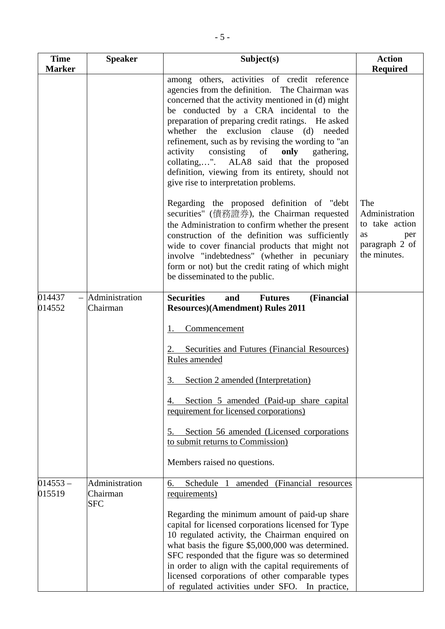| <b>Time</b>          | <b>Speaker</b>                           | Subject(s)                                                                                                                                                                                                                                                                                                                                                                                                                                                                                                                                            | <b>Action</b>                                                                                 |
|----------------------|------------------------------------------|-------------------------------------------------------------------------------------------------------------------------------------------------------------------------------------------------------------------------------------------------------------------------------------------------------------------------------------------------------------------------------------------------------------------------------------------------------------------------------------------------------------------------------------------------------|-----------------------------------------------------------------------------------------------|
| <b>Marker</b>        |                                          |                                                                                                                                                                                                                                                                                                                                                                                                                                                                                                                                                       | <b>Required</b>                                                                               |
|                      |                                          | among others, activities of credit reference<br>agencies from the definition. The Chairman was<br>concerned that the activity mentioned in (d) might<br>be conducted by a CRA incidental to the<br>preparation of preparing credit ratings. He asked<br>whether the exclusion clause (d) needed<br>refinement, such as by revising the wording to "an<br>activity<br>consisting<br>of<br>only<br>gathering,<br>collating,". ALA8 said that the proposed<br>definition, viewing from its entirety, should not<br>give rise to interpretation problems. |                                                                                               |
|                      |                                          | Regarding the proposed definition of "debt"<br>securities" (債務證券), the Chairman requested<br>the Administration to confirm whether the present<br>construction of the definition was sufficiently<br>wide to cover financial products that might not<br>involve "indebtedness" (whether in pecuniary<br>form or not) but the credit rating of which might<br>be disseminated to the public.                                                                                                                                                           | The<br>Administration<br>to take action<br><b>as</b><br>per<br>paragraph 2 of<br>the minutes. |
| 014437               | $-$ Administration                       | <b>Securities</b><br>(Financial<br>and<br><b>Futures</b>                                                                                                                                                                                                                                                                                                                                                                                                                                                                                              |                                                                                               |
| 014552               | Chairman                                 | <b>Resources</b> )(Amendment) Rules 2011                                                                                                                                                                                                                                                                                                                                                                                                                                                                                                              |                                                                                               |
|                      |                                          | <b>Commencement</b><br><b>Securities and Futures (Financial Resources)</b><br>Rules amended                                                                                                                                                                                                                                                                                                                                                                                                                                                           |                                                                                               |
|                      |                                          | Section 2 amended (Interpretation)<br>3.                                                                                                                                                                                                                                                                                                                                                                                                                                                                                                              |                                                                                               |
|                      |                                          | Section 5 amended (Paid-up share capital<br>requirement for licensed corporations)                                                                                                                                                                                                                                                                                                                                                                                                                                                                    |                                                                                               |
|                      |                                          | Section 56 amended (Licensed corporations<br>5.<br>to submit returns to Commission)                                                                                                                                                                                                                                                                                                                                                                                                                                                                   |                                                                                               |
|                      |                                          | Members raised no questions.                                                                                                                                                                                                                                                                                                                                                                                                                                                                                                                          |                                                                                               |
| $014553 -$<br>015519 | Administration<br>Chairman<br><b>SFC</b> | Schedule<br>amended (Financial resources<br>6.<br>requirements)                                                                                                                                                                                                                                                                                                                                                                                                                                                                                       |                                                                                               |
|                      |                                          | Regarding the minimum amount of paid-up share<br>capital for licensed corporations licensed for Type<br>10 regulated activity, the Chairman enquired on<br>what basis the figure \$5,000,000 was determined.<br>SFC responded that the figure was so determined<br>in order to align with the capital requirements of<br>licensed corporations of other comparable types<br>of regulated activities under SFO. In practice,                                                                                                                           |                                                                                               |